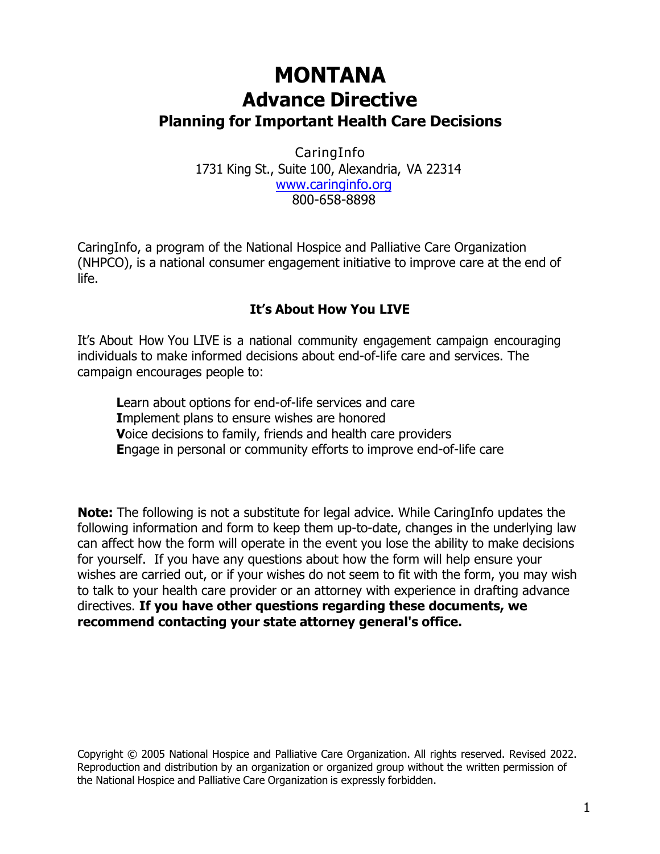# **MONTANA Advance Directive Planning for Important Health Care Decisions**

CaringInfo 1731 King St., Suite 100, Alexandria, VA 22314 www.caringinfo.org 800-658-8898

CaringInfo, a program of the National Hospice and Palliative Care Organization (NHPCO), is a national consumer engagement initiative to improve care at the end of life.

## **It's About How You LIVE**

It's About How You LIVE is a national community engagement campaign encouraging individuals to make informed decisions about end-of-life care and services. The campaign encourages people to:

**L**earn about options for end-of-life services and care **I**mplement plans to ensure wishes are honored **V**oice decisions to family, friends and health care providers **E**ngage in personal or community efforts to improve end-of-life care

**Note:** The following is not a substitute for legal advice. While CaringInfo updates the following information and form to keep them up-to-date, changes in the underlying law can affect how the form will operate in the event you lose the ability to make decisions for yourself. If you have any questions about how the form will help ensure your wishes are carried out, or if your wishes do not seem to fit with the form, you may wish to talk to your health care provider or an attorney with experience in drafting advance directives. **If you have other questions regarding these documents, we recommend contacting your state attorney general's office.**

Copyright © 2005 National Hospice and Palliative Care Organization. All rights reserved. Revised 2022. Reproduction and distribution by an organization or organized group without the written permission of the National Hospice and Palliative Care Organization is expressly forbidden.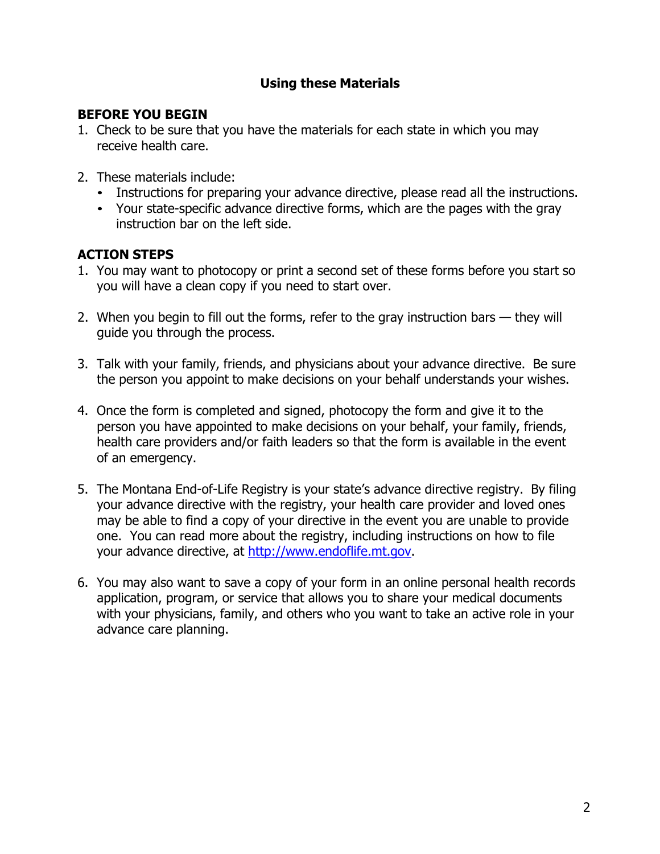# **Using these Materials**

### **BEFORE YOU BEGIN**

- 1. Check to be sure that you have the materials for each state in which you may receive health care.
- 2. These materials include:
	- Instructions for preparing your advance directive, please read all the instructions.
	- Your state-specific advance directive forms, which are the pages with the gray instruction bar on the left side.

## **ACTION STEPS**

- 1. You may want to photocopy or print a second set of these forms before you start so you will have a clean copy if you need to start over.
- 2. When you begin to fill out the forms, refer to the gray instruction bars they will guide you through the process.
- 3. Talk with your family, friends, and physicians about your advance directive. Be sure the person you appoint to make decisions on your behalf understands your wishes.
- 4. Once the form is completed and signed, photocopy the form and give it to the person you have appointed to make decisions on your behalf, your family, friends, health care providers and/or faith leaders so that the form is available in the event of an emergency.
- 5. The Montana End-of-Life Registry is your state's advance directive registry. By filing your advance directive with the registry, your health care provider and loved ones may be able to find a copy of your directive in the event you are unable to provide one. You can read more about the registry, including instructions on how to file your advance directive, at http://www.endoflife.mt.gov.
- 6. You may also want to save a copy of your form in an online personal health records application, program, or service that allows you to share your medical documents with your physicians, family, and others who you want to take an active role in your advance care planning.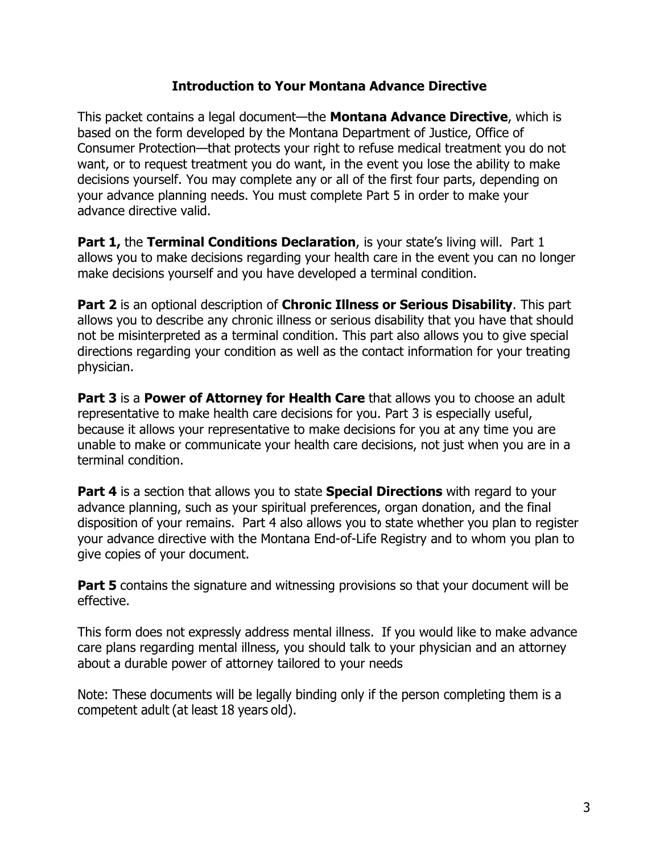#### **Introduction to Your Montana Advance Directive**

This packet contains a legal document—the **Montana Advance Directive**, which is based on the form developed by the Montana Department of Justice, Office of Consumer Protection—that protects your right to refuse medical treatment you do not want, or to request treatment you do want, in the event you lose the ability to make decisions yourself. You may complete any or all of the first four parts, depending on your advance planning needs. You must complete Part 5 in order to make your advance directive valid.

**Part 1, the Terminal Conditions Declaration, is your state's living will. Part 1** allows you to make decisions regarding your health care in the event you can no longer make decisions yourself and you have developed a terminal condition.

**Part 2** is an optional description of **Chronic Illness or Serious Disability**. This part allows you to describe any chronic illness or serious disability that you have that should not be misinterpreted as a terminal condition. This part also allows you to give special directions regarding your condition as well as the contact information for your treating physician.

**Part 3** is a **Power of Attorney for Health Care** that allows you to choose an adult representative to make health care decisions for you. Part 3 is especially useful, because it allows your representative to make decisions for you at any time you are unable to make or communicate your health care decisions, not just when you are in a terminal condition.

**Part 4** is a section that allows you to state **Special Directions** with regard to your advance planning, such as your spiritual preferences, organ donation, and the final disposition of your remains. Part 4 also allows you to state whether you plan to register your advance directive with the Montana End-of-Life Registry and to whom you plan to give copies of your document.

**Part 5** contains the signature and witnessing provisions so that your document will be effective.

This form does not expressly address mental illness. If you would like to make advance care plans regarding mental illness, you should talk to your physician and an attorney about a durable power of attorney tailored to your needs

Note: These documents will be legally binding only if the person completing them is a competent adult (at least 18 years old).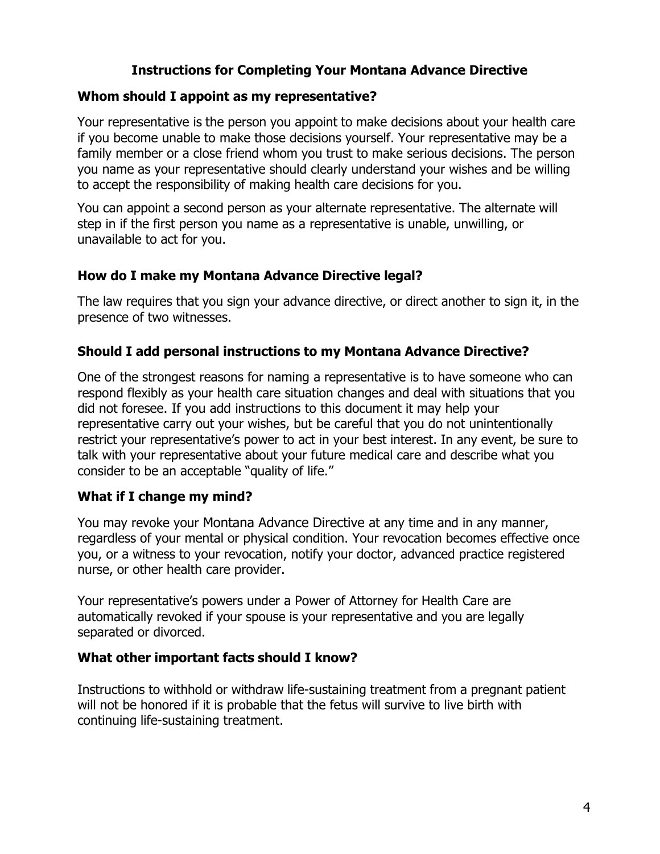# **Instructions for Completing Your Montana Advance Directive**

#### **Whom should I appoint as my representative?**

Your representative is the person you appoint to make decisions about your health care if you become unable to make those decisions yourself. Your representative may be a family member or a close friend whom you trust to make serious decisions. The person you name as your representative should clearly understand your wishes and be willing to accept the responsibility of making health care decisions for you.

You can appoint a second person as your alternate representative. The alternate will step in if the first person you name as a representative is unable, unwilling, or unavailable to act for you.

#### **How do I make my Montana Advance Directive legal?**

The law requires that you sign your advance directive, or direct another to sign it, in the presence of two witnesses.

#### **Should I add personal instructions to my Montana Advance Directive?**

One of the strongest reasons for naming a representative is to have someone who can respond flexibly as your health care situation changes and deal with situations that you did not foresee. If you add instructions to this document it may help your representative carry out your wishes, but be careful that you do not unintentionally restrict your representative's power to act in your best interest. In any event, be sure to talk with your representative about your future medical care and describe what you consider to be an acceptable "quality of life."

#### **What if I change my mind?**

You may revoke your Montana Advance Directive at any time and in any manner, regardless of your mental or physical condition. Your revocation becomes effective once you, or a witness to your revocation, notify your doctor, advanced practice registered nurse, or other health care provider.

Your representative's powers under a Power of Attorney for Health Care are automatically revoked if your spouse is your representative and you are legally separated or divorced.

#### **What other important facts should I know?**

Instructions to withhold or withdraw life-sustaining treatment from a pregnant patient will not be honored if it is probable that the fetus will survive to live birth with continuing life-sustaining treatment.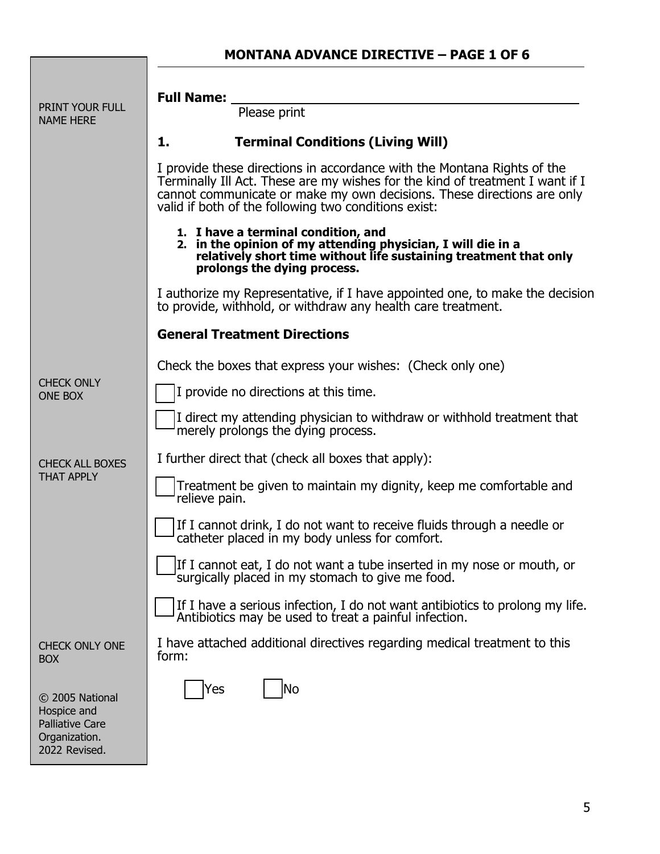# **MONTANA ADVANCE DIRECTIVE – PAGE 1 OF 6**

|                                                                                            | <b>Full Name:</b>                                                                                                                                                                                                                                                                          |
|--------------------------------------------------------------------------------------------|--------------------------------------------------------------------------------------------------------------------------------------------------------------------------------------------------------------------------------------------------------------------------------------------|
| PRINT YOUR FULL<br><b>NAME HERE</b>                                                        | Please print                                                                                                                                                                                                                                                                               |
|                                                                                            | <b>Terminal Conditions (Living Will)</b><br>1.                                                                                                                                                                                                                                             |
|                                                                                            | I provide these directions in accordance with the Montana Rights of the<br>Terminally Ill Act. These are my wishes for the kind of treatment I want if I<br>cannot communicate or make my own decisions. These directions are only<br>valid if both of the following two conditions exist: |
|                                                                                            | 1. I have a terminal condition, and<br>2. in the opinion of my attending physician, I will die in a<br>relatively short time without life sustaining treatment that only<br>prolongs the dying process.                                                                                    |
|                                                                                            | I authorize my Representative, if I have appointed one, to make the decision<br>to provide, withhold, or withdraw any health care treatment.                                                                                                                                               |
|                                                                                            | <b>General Treatment Directions</b>                                                                                                                                                                                                                                                        |
|                                                                                            | Check the boxes that express your wishes: (Check only one)                                                                                                                                                                                                                                 |
| <b>CHECK ONLY</b><br><b>ONE BOX</b>                                                        | I provide no directions at this time.                                                                                                                                                                                                                                                      |
|                                                                                            | I direct my attending physician to withdraw or withhold treatment that<br>merely prolongs the dying process.                                                                                                                                                                               |
| <b>CHECK ALL BOXES</b>                                                                     | I further direct that (check all boxes that apply):                                                                                                                                                                                                                                        |
| <b>THAT APPLY</b>                                                                          | Treatment be given to maintain my dignity, keep me comfortable and<br>relieve pain.                                                                                                                                                                                                        |
|                                                                                            | If I cannot drink, I do not want to receive fluids through a needle or<br>catheter placed in my body unless for comfort.                                                                                                                                                                   |
|                                                                                            | If I cannot eat, I do not want a tube inserted in my nose or mouth, or<br>surgically placed in my stomach to give me food.                                                                                                                                                                 |
|                                                                                            | If I have a serious infection, I do not want antibiotics to prolong my life.<br>Antibiotics may be used to treat a painful infection.                                                                                                                                                      |
| <b>CHECK ONLY ONE</b><br><b>BOX</b>                                                        | I have attached additional directives regarding medical treatment to this<br>form:                                                                                                                                                                                                         |
| © 2005 National<br>Hospice and<br><b>Palliative Care</b><br>Organization.<br>2022 Revised. | No<br>Yes                                                                                                                                                                                                                                                                                  |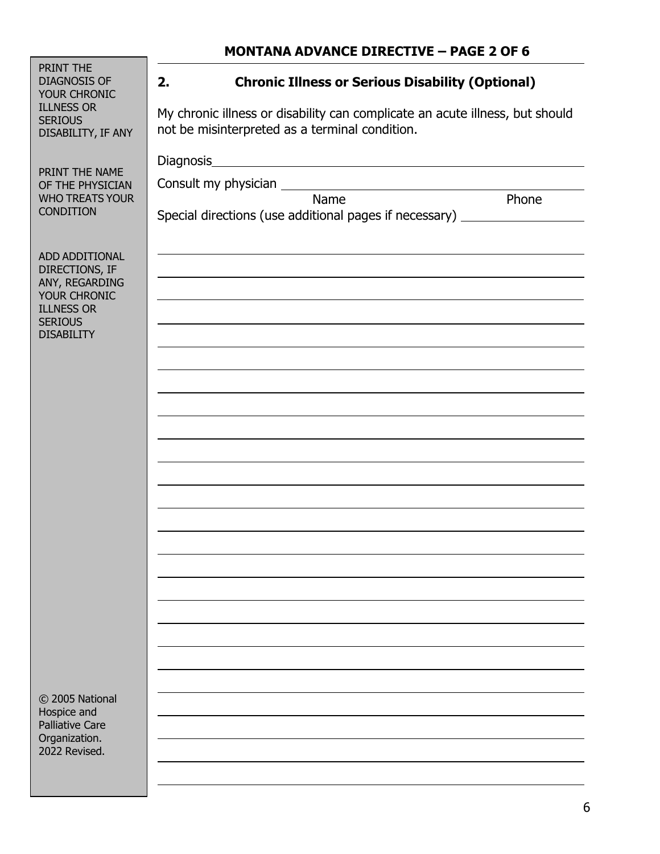|                                                                                                                                | MUNTANA ADVANCE DIKECTIVE – PAGE 2 UF 0                                                                                                                                                         |
|--------------------------------------------------------------------------------------------------------------------------------|-------------------------------------------------------------------------------------------------------------------------------------------------------------------------------------------------|
| PRINT THE<br><b>DIAGNOSIS OF</b><br>YOUR CHRONIC<br><b>ILLNESS OR</b><br><b>SERIOUS</b><br>DISABILITY, IF ANY                  | <b>Chronic Illness or Serious Disability (Optional)</b><br>2.<br>My chronic illness or disability can complicate an acute illness, but should<br>not be misinterpreted as a terminal condition. |
| PRINT THE NAME<br>OF THE PHYSICIAN<br><b>WHO TREATS YOUR</b><br><b>CONDITION</b>                                               | Diagnosis<br>Phone<br>Name<br>Special directions (use additional pages if necessary) _________________________                                                                                  |
| ADD ADDITIONAL<br>DIRECTIONS, IF<br>ANY, REGARDING<br>YOUR CHRONIC<br><b>ILLNESS OR</b><br><b>SERIOUS</b><br><b>DISABILITY</b> |                                                                                                                                                                                                 |
| © 2005 National<br>Hospice and<br><b>Palliative Care</b><br>Organization.<br>2022 Revised.                                     |                                                                                                                                                                                                 |

# **MONTANA ADVANCE DIRECTIVE – PAGE 2 OF 6**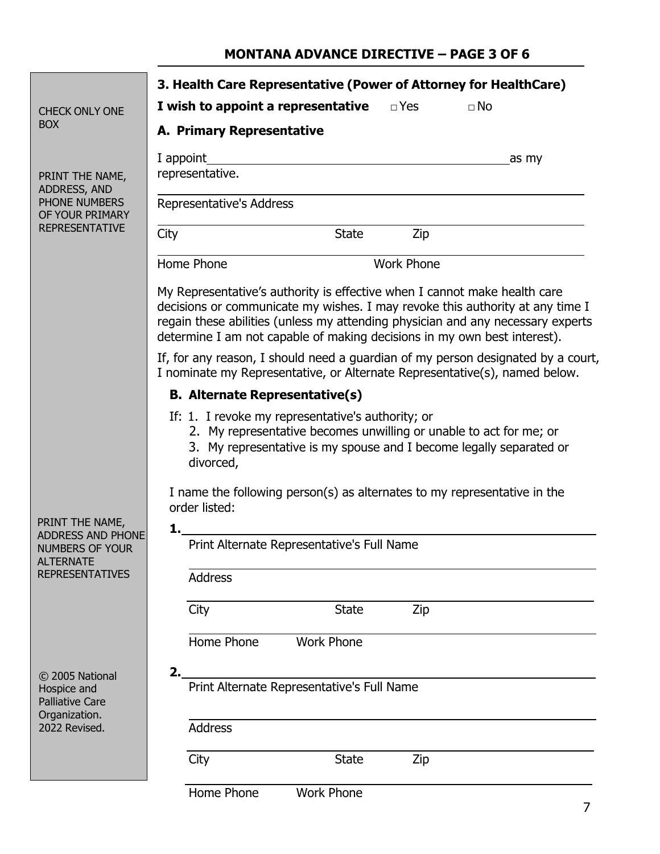## **MONTANA ADVANCE DIRECTIVE – PAGE 3 OF 6**

|                                                                                                                     | 3. Health Care Representative (Power of Attorney for HealthCare)                                                                                                                                                                                                                                                          |
|---------------------------------------------------------------------------------------------------------------------|---------------------------------------------------------------------------------------------------------------------------------------------------------------------------------------------------------------------------------------------------------------------------------------------------------------------------|
| <b>CHECK ONLY ONE</b>                                                                                               | I wish to appoint a representative<br>$\Box$ Yes<br>$\Box$ No                                                                                                                                                                                                                                                             |
| <b>BOX</b>                                                                                                          | <b>A. Primary Representative</b>                                                                                                                                                                                                                                                                                          |
|                                                                                                                     | I appoint<br>_as my                                                                                                                                                                                                                                                                                                       |
| PRINT THE NAME,<br>ADDRESS, AND                                                                                     | representative.                                                                                                                                                                                                                                                                                                           |
| PHONE NUMBERS<br>OF YOUR PRIMARY                                                                                    | Representative's Address                                                                                                                                                                                                                                                                                                  |
| <b>REPRESENTATIVE</b>                                                                                               | City<br><b>State</b><br>Zip                                                                                                                                                                                                                                                                                               |
|                                                                                                                     | Home Phone<br><b>Work Phone</b>                                                                                                                                                                                                                                                                                           |
|                                                                                                                     | My Representative's authority is effective when I cannot make health care<br>decisions or communicate my wishes. I may revoke this authority at any time I<br>regain these abilities (unless my attending physician and any necessary experts<br>determine I am not capable of making decisions in my own best interest). |
|                                                                                                                     | If, for any reason, I should need a guardian of my person designated by a court,<br>I nominate my Representative, or Alternate Representative(s), named below.                                                                                                                                                            |
|                                                                                                                     | <b>B. Alternate Representative(s)</b>                                                                                                                                                                                                                                                                                     |
|                                                                                                                     | If: 1. I revoke my representative's authority; or<br>2. My representative becomes unwilling or unable to act for me; or<br>3. My representative is my spouse and I become legally separated or<br>divorced,                                                                                                               |
|                                                                                                                     | I name the following person(s) as alternates to my representative in the<br>order listed:                                                                                                                                                                                                                                 |
| PRINT THE NAME,<br><b>ADDRESS AND PHONE</b><br><b>NUMBERS OF YOUR</b><br><b>ALTERNATE</b><br><b>REPRESENTATIVES</b> | 1.<br>Print Alternate Representative's Full Name                                                                                                                                                                                                                                                                          |
|                                                                                                                     | <b>Address</b>                                                                                                                                                                                                                                                                                                            |
|                                                                                                                     | City<br>Zip<br><b>State</b>                                                                                                                                                                                                                                                                                               |
|                                                                                                                     | Home Phone<br><b>Work Phone</b>                                                                                                                                                                                                                                                                                           |
| © 2005 National<br>Hospice and<br><b>Palliative Care</b><br>Organization.<br>2022 Revised.                          | Print Alternate Representative's Full Name                                                                                                                                                                                                                                                                                |
|                                                                                                                     | <b>Address</b>                                                                                                                                                                                                                                                                                                            |
|                                                                                                                     | City<br><b>State</b><br>Zip                                                                                                                                                                                                                                                                                               |
|                                                                                                                     | Home Phone<br><b>Work Phone</b>                                                                                                                                                                                                                                                                                           |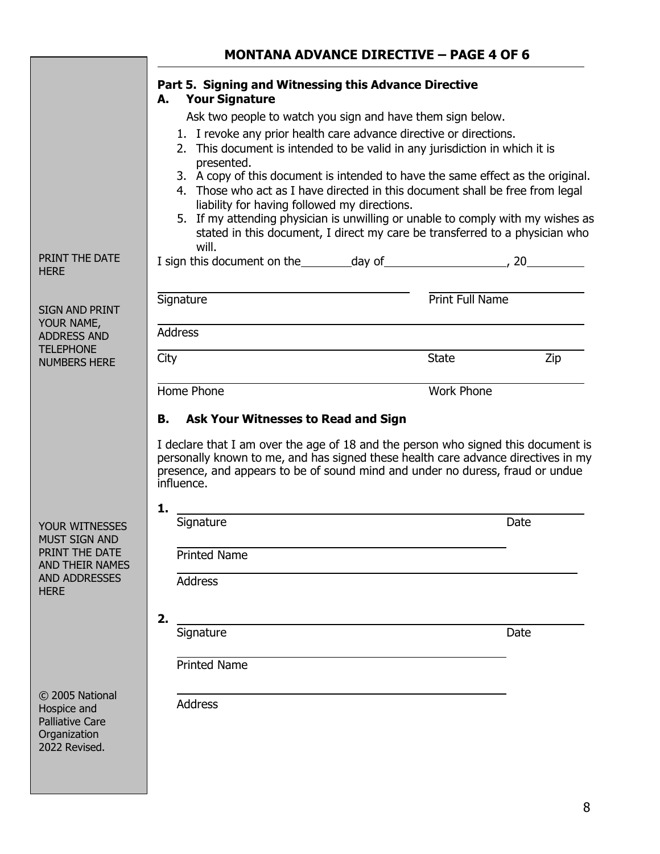|                                                                                           | <b>MONTANA ADVANCE DIRECTIVE - PAGE 4 OF 6</b>                                                                                                                                                                                                                                                                                                                                                   |                   |      |
|-------------------------------------------------------------------------------------------|--------------------------------------------------------------------------------------------------------------------------------------------------------------------------------------------------------------------------------------------------------------------------------------------------------------------------------------------------------------------------------------------------|-------------------|------|
|                                                                                           | Part 5. Signing and Witnessing this Advance Directive<br><b>Your Signature</b><br>А.                                                                                                                                                                                                                                                                                                             |                   |      |
|                                                                                           | Ask two people to watch you sign and have them sign below.                                                                                                                                                                                                                                                                                                                                       |                   |      |
|                                                                                           | 1. I revoke any prior health care advance directive or directions.                                                                                                                                                                                                                                                                                                                               |                   |      |
|                                                                                           | 2. This document is intended to be valid in any jurisdiction in which it is                                                                                                                                                                                                                                                                                                                      |                   |      |
|                                                                                           | presented.<br>3. A copy of this document is intended to have the same effect as the original.<br>4. Those who act as I have directed in this document shall be free from legal<br>liability for having followed my directions.<br>5. If my attending physician is unwilling or unable to comply with my wishes as<br>stated in this document, I direct my care be transferred to a physician who |                   |      |
| PRINT THE DATE                                                                            | will.                                                                                                                                                                                                                                                                                                                                                                                            |                   |      |
| <b>HERE</b>                                                                               |                                                                                                                                                                                                                                                                                                                                                                                                  |                   |      |
| <b>SIGN AND PRINT</b><br>YOUR NAME,<br><b>ADDRESS AND</b>                                 | Signature<br><b>Address</b>                                                                                                                                                                                                                                                                                                                                                                      | Print Full Name   |      |
| <b>TELEPHONE</b>                                                                          |                                                                                                                                                                                                                                                                                                                                                                                                  |                   |      |
| <b>NUMBERS HERE</b>                                                                       | City                                                                                                                                                                                                                                                                                                                                                                                             | <b>State</b>      | Zip  |
|                                                                                           | Home Phone                                                                                                                                                                                                                                                                                                                                                                                       | <b>Work Phone</b> |      |
|                                                                                           | <b>Ask Your Witnesses to Read and Sign</b><br>В.                                                                                                                                                                                                                                                                                                                                                 |                   |      |
|                                                                                           | I declare that I am over the age of 18 and the person who signed this document is<br>personally known to me, and has signed these health care advance directives in my<br>presence, and appears to be of sound mind and under no duress, fraud or undue<br>influence.                                                                                                                            |                   |      |
|                                                                                           | 1.                                                                                                                                                                                                                                                                                                                                                                                               |                   |      |
| <b>YOUR WITNESSES</b>                                                                     | Signature                                                                                                                                                                                                                                                                                                                                                                                        |                   | Date |
| <b>MUST SIGN AND</b>                                                                      |                                                                                                                                                                                                                                                                                                                                                                                                  |                   |      |
| PRINT THE DATE                                                                            | <b>Printed Name</b>                                                                                                                                                                                                                                                                                                                                                                              |                   |      |
| <b>AND THEIR NAMES</b>                                                                    |                                                                                                                                                                                                                                                                                                                                                                                                  |                   |      |
| <b>AND ADDRESSES</b><br><b>HERE</b>                                                       | Address                                                                                                                                                                                                                                                                                                                                                                                          |                   |      |
|                                                                                           | 2.                                                                                                                                                                                                                                                                                                                                                                                               |                   |      |
|                                                                                           | Signature                                                                                                                                                                                                                                                                                                                                                                                        |                   | Date |
|                                                                                           |                                                                                                                                                                                                                                                                                                                                                                                                  |                   |      |
|                                                                                           | <b>Printed Name</b>                                                                                                                                                                                                                                                                                                                                                                              |                   |      |
|                                                                                           |                                                                                                                                                                                                                                                                                                                                                                                                  |                   |      |
| © 2005 National<br>Hospice and<br><b>Palliative Care</b><br>Organization<br>2022 Revised. | <b>Address</b>                                                                                                                                                                                                                                                                                                                                                                                   |                   |      |
|                                                                                           |                                                                                                                                                                                                                                                                                                                                                                                                  |                   |      |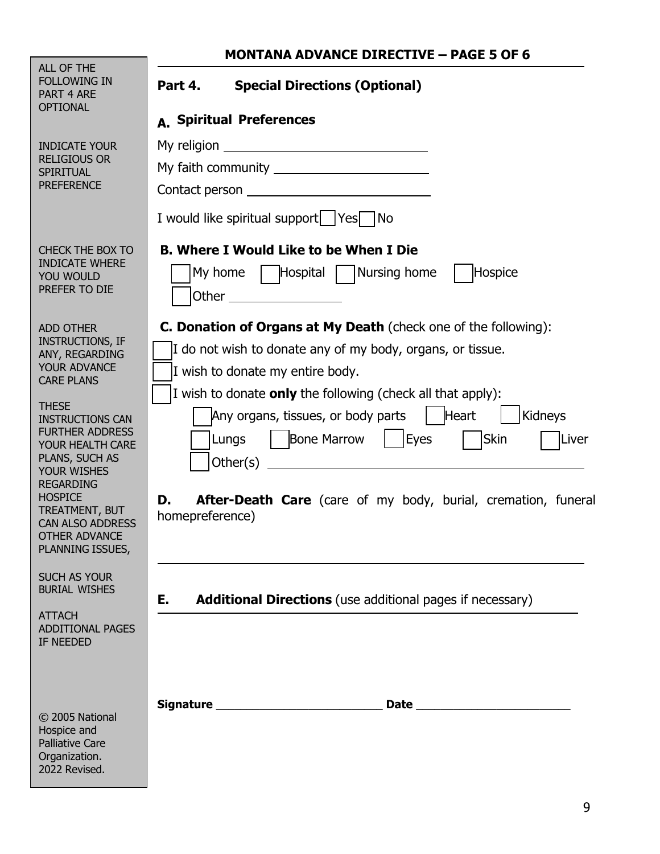| <b>MONTANA ADVANCE DIRECTIVE - PAGE 5 OF 6</b> |
|------------------------------------------------|
|------------------------------------------------|

٦

| ALL OF THE<br><b>FOLLOWING IN</b><br>PART 4 ARE<br><b>OPTIONAL</b>                                                                                                                                                                                                                                                                                                 | <b>Special Directions (Optional)</b><br>Part 4.<br>A. Spiritual Preferences                                                                                                                                                                                                                                                                                                                                                                                                                                                                                                                   |
|--------------------------------------------------------------------------------------------------------------------------------------------------------------------------------------------------------------------------------------------------------------------------------------------------------------------------------------------------------------------|-----------------------------------------------------------------------------------------------------------------------------------------------------------------------------------------------------------------------------------------------------------------------------------------------------------------------------------------------------------------------------------------------------------------------------------------------------------------------------------------------------------------------------------------------------------------------------------------------|
| <b>INDICATE YOUR</b><br><b>RELIGIOUS OR</b><br>SPIRITUAL<br><b>PREFERENCE</b>                                                                                                                                                                                                                                                                                      | I would like spiritual support   Yes   No                                                                                                                                                                                                                                                                                                                                                                                                                                                                                                                                                     |
| CHECK THE BOX TO<br><b>INDICATE WHERE</b><br>YOU WOULD<br>PREFER TO DIE                                                                                                                                                                                                                                                                                            | <b>B. Where I Would Like to be When I Die</b><br>My home $\parallel$  Hospital   Nursing home<br>Hospice<br><b>Other Contract Contract Contract Contract Contract Contract Contract Contract Contract Contract Contract Contract Contract Contract Contract Contract Contract Contract Contract Contract Contract Contract Contract Contra</b>                                                                                                                                                                                                                                                |
| <b>ADD OTHER</b><br><b>INSTRUCTIONS, IF</b><br>ANY, REGARDING<br>YOUR ADVANCE<br><b>CARE PLANS</b><br><b>THESE</b><br><b>INSTRUCTIONS CAN</b><br><b>FURTHER ADDRESS</b><br>YOUR HEALTH CARE<br>PLANS, SUCH AS<br><b>YOUR WISHES</b><br><b>REGARDING</b><br><b>HOSPICE</b><br>TREATMENT, BUT<br><b>CAN ALSO ADDRESS</b><br><b>OTHER ADVANCE</b><br>PLANNING ISSUES, | C. Donation of Organs at My Death (check one of the following):<br>I do not wish to donate any of my body, organs, or tissue.<br>I wish to donate my entire body.<br>I wish to donate <b>only</b> the following (check all that apply):<br>$ $ Heart<br>Kidneys<br>Any organs, tissues, or body parts<br>Bone Marrow   Eyes<br><b>Skin</b><br>Liver<br>Lungs<br>Other $(s)$<br><u> 1980 - Johann Barn, mars ann an t-Amhain Aonaich an t-Amhain Aonaich an t-Amhain Aonaich an t-Amhain Aonaich</u><br>After-Death Care (care of my body, burial, cremation, funeral<br>D.<br>homepreference) |
| <b>SUCH AS YOUR</b><br><b>BURIAL WISHES</b><br><b>ATTACH</b><br><b>ADDITIONAL PAGES</b><br>IF NEEDED                                                                                                                                                                                                                                                               | <b>Additional Directions</b> (use additional pages if necessary)<br>Е.                                                                                                                                                                                                                                                                                                                                                                                                                                                                                                                        |
| © 2005 National<br>Hospice and<br><b>Palliative Care</b><br>Organization.<br>2022 Revised.                                                                                                                                                                                                                                                                         |                                                                                                                                                                                                                                                                                                                                                                                                                                                                                                                                                                                               |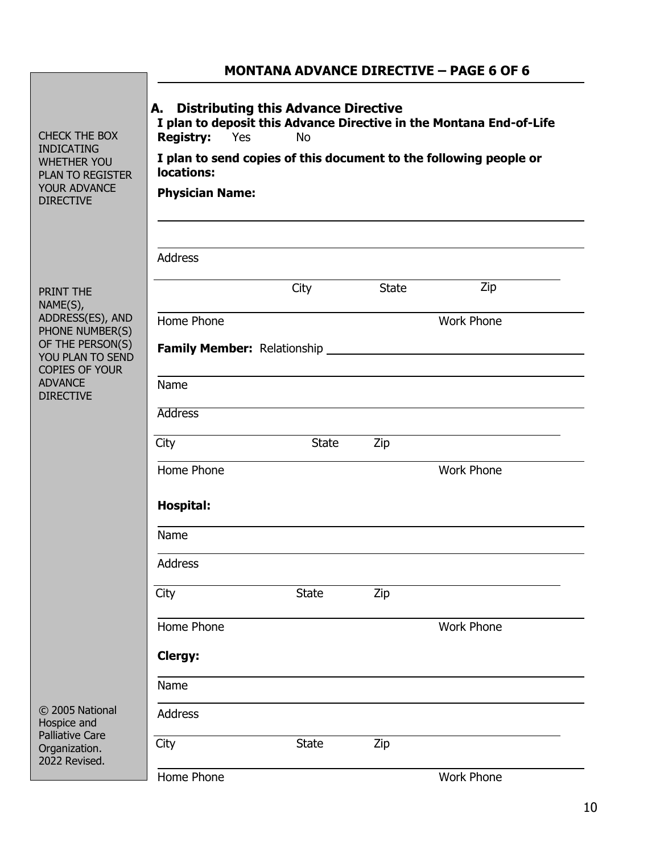|                                                                                                                                |                                                                                                                                                                                                                                                                              |              |              | <b>MONTANA ADVANCE DIRECTIVE - PAGE 6 OF 6</b> |
|--------------------------------------------------------------------------------------------------------------------------------|------------------------------------------------------------------------------------------------------------------------------------------------------------------------------------------------------------------------------------------------------------------------------|--------------|--------------|------------------------------------------------|
| <b>CHECK THE BOX</b><br><b>INDICATING</b><br><b>WHETHER YOU</b><br><b>PLAN TO REGISTER</b><br>YOUR ADVANCE<br><b>DIRECTIVE</b> | <b>Distributing this Advance Directive</b><br>А.<br>I plan to deposit this Advance Directive in the Montana End-of-Life<br><b>Registry:</b><br>Yes<br><b>No</b><br>I plan to send copies of this document to the following people or<br>locations:<br><b>Physician Name:</b> |              |              |                                                |
|                                                                                                                                | <b>Address</b>                                                                                                                                                                                                                                                               |              |              |                                                |
| PRINT THE                                                                                                                      |                                                                                                                                                                                                                                                                              | City         | <b>State</b> | Zip                                            |
| NAME(S),<br>ADDRESS(ES), AND<br>PHONE NUMBER(S)                                                                                | Home Phone                                                                                                                                                                                                                                                                   |              |              | <b>Work Phone</b>                              |
| OF THE PERSON(S)<br>YOU PLAN TO SEND                                                                                           |                                                                                                                                                                                                                                                                              |              |              |                                                |
| <b>COPIES OF YOUR</b><br><b>ADVANCE</b><br><b>DIRECTIVE</b>                                                                    | Name                                                                                                                                                                                                                                                                         |              |              |                                                |
|                                                                                                                                | <b>Address</b>                                                                                                                                                                                                                                                               |              |              |                                                |
|                                                                                                                                | City                                                                                                                                                                                                                                                                         | <b>State</b> | Zip          |                                                |
|                                                                                                                                | Home Phone                                                                                                                                                                                                                                                                   |              |              | <b>Work Phone</b>                              |
|                                                                                                                                | <b>Hospital:</b>                                                                                                                                                                                                                                                             |              |              |                                                |
|                                                                                                                                | Name                                                                                                                                                                                                                                                                         |              |              |                                                |
|                                                                                                                                | <b>Address</b>                                                                                                                                                                                                                                                               |              |              |                                                |
|                                                                                                                                | City                                                                                                                                                                                                                                                                         | <b>State</b> | Zip          |                                                |
|                                                                                                                                | Home Phone                                                                                                                                                                                                                                                                   |              |              | <b>Work Phone</b>                              |
|                                                                                                                                | Clergy:                                                                                                                                                                                                                                                                      |              |              |                                                |
|                                                                                                                                | Name                                                                                                                                                                                                                                                                         |              |              |                                                |
| © 2005 National<br>Hospice and                                                                                                 | <b>Address</b>                                                                                                                                                                                                                                                               |              |              |                                                |
| <b>Palliative Care</b><br>Organization.<br>2022 Revised.                                                                       | City                                                                                                                                                                                                                                                                         | <b>State</b> | Zip          |                                                |
|                                                                                                                                | Home Phone                                                                                                                                                                                                                                                                   |              |              | <b>Work Phone</b>                              |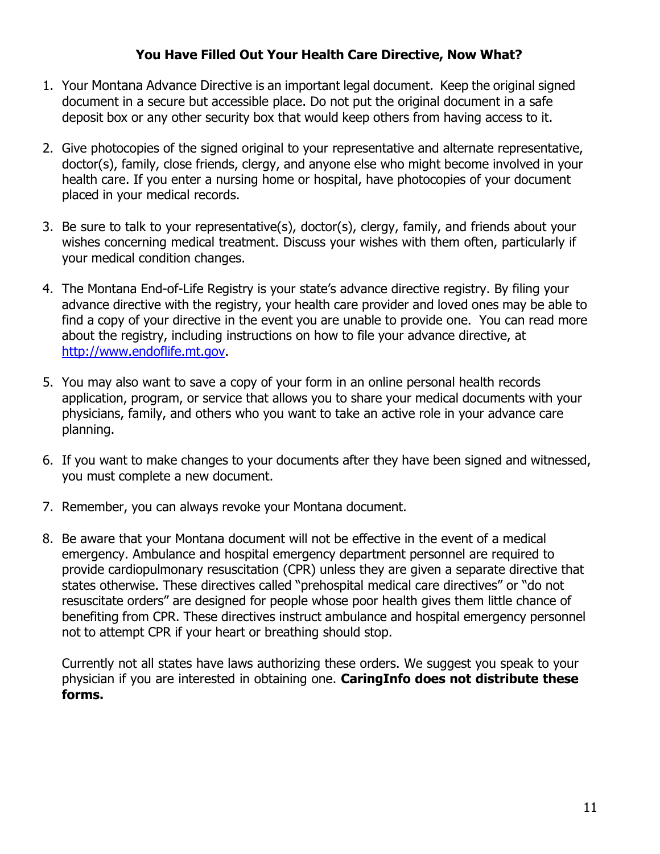### **You Have Filled Out Your Health Care Directive, Now What?**

- 1. Your Montana Advance Directive is an important legal document. Keep the original signed document in a secure but accessible place. Do not put the original document in a safe deposit box or any other security box that would keep others from having access to it.
- 2. Give photocopies of the signed original to your representative and alternate representative, doctor(s), family, close friends, clergy, and anyone else who might become involved in your health care. If you enter a nursing home or hospital, have photocopies of your document placed in your medical records.
- 3. Be sure to talk to your representative(s), doctor(s), clergy, family, and friends about your wishes concerning medical treatment. Discuss your wishes with them often, particularly if your medical condition changes.
- 4. The Montana End-of-Life Registry is your state's advance directive registry. By filing your advance directive with the registry, your health care provider and loved ones may be able to find a copy of your directive in the event you are unable to provide one. You can read more about the registry, including instructions on how to file your advance directive, at http://www.endoflife.mt.gov.
- 5. You may also want to save a copy of your form in an online personal health records application, program, or service that allows you to share your medical documents with your physicians, family, and others who you want to take an active role in your advance care planning.
- 6. If you want to make changes to your documents after they have been signed and witnessed, you must complete a new document.
- 7. Remember, you can always revoke your Montana document.
- 8. Be aware that your Montana document will not be effective in the event of a medical emergency. Ambulance and hospital emergency department personnel are required to provide cardiopulmonary resuscitation (CPR) unless they are given a separate directive that states otherwise. These directives called "prehospital medical care directives" or "do not resuscitate orders" are designed for people whose poor health gives them little chance of benefiting from CPR. These directives instruct ambulance and hospital emergency personnel not to attempt CPR if your heart or breathing should stop.

Currently not all states have laws authorizing these orders. We suggest you speak to your physician if you are interested in obtaining one. **CaringInfo does not distribute these forms.**